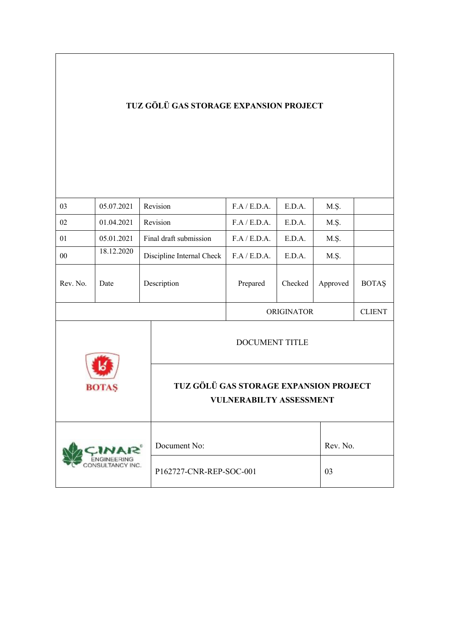# **TUZ GÖLÜ GAS STORAGE EXPANSION PROJECT**

| 03           | 05.07.2021 |                                                                          | Revision                  | F.A / E.D.A.      | E.D.A.   | M.Ş.     |               |
|--------------|------------|--------------------------------------------------------------------------|---------------------------|-------------------|----------|----------|---------------|
| 02           | 01.04.2021 |                                                                          | Revision                  | F.A / E.D.A.      | E.D.A.   | M.Ş.     |               |
| 01           | 05.01.2021 |                                                                          | Final draft submission    | F.A / E.D.A.      | E.D.A.   | M.Ş.     |               |
| 00           | 18.12.2020 |                                                                          | Discipline Internal Check | F.A / E.D.A.      | E.D.A.   | M.Ş.     |               |
| Rev. No.     | Date       | Description                                                              |                           | Prepared          | Checked  | Approved | <b>BOTAŞ</b>  |
|              |            |                                                                          |                           | <b>ORIGINATOR</b> |          |          | <b>CLIENT</b> |
| <b>BOTAS</b> |            | <b>DOCUMENT TITLE</b>                                                    |                           |                   |          |          |               |
|              |            | TUZ GÖLÜ GAS STORAGE EXPANSION PROJECT<br><b>VULNERABILTY ASSESSMENT</b> |                           |                   |          |          |               |
|              |            | Document No:                                                             |                           |                   | Rev. No. |          |               |
|              |            | P162727-CNR-REP-SOC-001                                                  |                           |                   | 03       |          |               |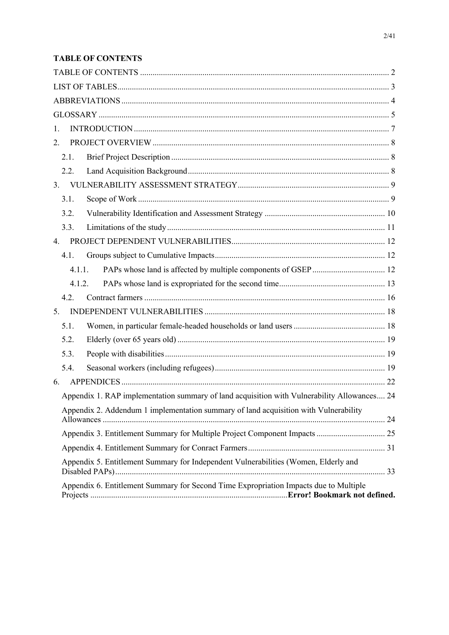## **TABLE OF CONTENTS**

| 1.                                                                                          |  |
|---------------------------------------------------------------------------------------------|--|
| 2.                                                                                          |  |
| 2.1.                                                                                        |  |
| 2.2.                                                                                        |  |
| 3.                                                                                          |  |
| 3.1.                                                                                        |  |
| 3.2.                                                                                        |  |
| 3.3.                                                                                        |  |
| 4.                                                                                          |  |
| 4.1.                                                                                        |  |
| 4.1.1.                                                                                      |  |
| 4.1.2.                                                                                      |  |
| 4.2.                                                                                        |  |
| 5.                                                                                          |  |
| 5.1.                                                                                        |  |
| 5.2.                                                                                        |  |
| 5.3.                                                                                        |  |
| 5.4.                                                                                        |  |
| 6.                                                                                          |  |
| Appendix 1. RAP implementation summary of land acquisition with Vulnerability Allowances 24 |  |
| Appendix 2. Addendum 1 implementation summary of land acquisition with Vulnerability        |  |
|                                                                                             |  |
|                                                                                             |  |
| Appendix 5. Entitlement Summary for Independent Vulnerabilities (Women, Elderly and         |  |
| Appendix 6. Entitlement Summary for Second Time Expropriation Impacts due to Multiple       |  |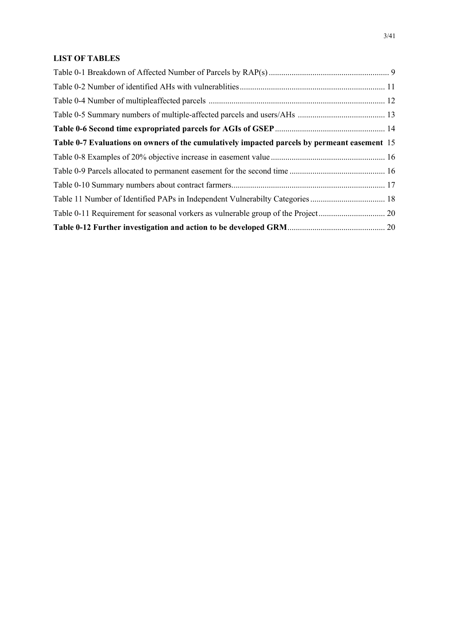#### **LIST OF TABLES**

| Table 0-7 Evaluations on owners of the cumulatively impacted parcels by permeant easement 15 |  |
|----------------------------------------------------------------------------------------------|--|
|                                                                                              |  |
|                                                                                              |  |
|                                                                                              |  |
|                                                                                              |  |
|                                                                                              |  |
|                                                                                              |  |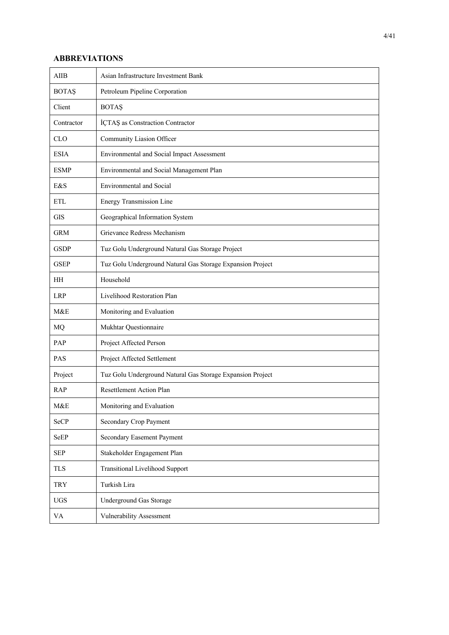#### **ABBREVIATIONS**

| <b>AIIB</b>  | Asian Infrastructure Investment Bank                       |  |  |  |
|--------------|------------------------------------------------------------|--|--|--|
| <b>BOTAŞ</b> | Petroleum Pipeline Corporation                             |  |  |  |
| Client       | <b>BOTAŞ</b>                                               |  |  |  |
| Contractor   | İÇTAŞ as Constraction Contractor                           |  |  |  |
| <b>CLO</b>   | Community Liasion Officer                                  |  |  |  |
| <b>ESIA</b>  | Environmental and Social Impact Assessment                 |  |  |  |
| <b>ESMP</b>  | Environmental and Social Management Plan                   |  |  |  |
| E&S          | <b>Environmental and Social</b>                            |  |  |  |
| <b>ETL</b>   | Energy Transmission Line                                   |  |  |  |
| <b>GIS</b>   | Geographical Information System                            |  |  |  |
| <b>GRM</b>   | Grievance Redress Mechanism                                |  |  |  |
| <b>GSDP</b>  | Tuz Golu Underground Natural Gas Storage Project           |  |  |  |
| <b>GSEP</b>  | Tuz Golu Underground Natural Gas Storage Expansion Project |  |  |  |
| HН           | Household                                                  |  |  |  |
| <b>LRP</b>   | Livelihood Restoration Plan                                |  |  |  |
| M&E          | Monitoring and Evaluation                                  |  |  |  |
| MQ           | Mukhtar Questionnaire                                      |  |  |  |
| PAP          | Project Affected Person                                    |  |  |  |
| PAS          | Project Affected Settlement                                |  |  |  |
| Project      | Tuz Golu Underground Natural Gas Storage Expansion Project |  |  |  |
| <b>RAP</b>   | Resettlement Action Plan                                   |  |  |  |
| M&E          | Monitoring and Evaluation                                  |  |  |  |
| SeCP         | Secondary Crop Payment                                     |  |  |  |
| SeEP         | Secondary Easement Payment                                 |  |  |  |
| <b>SEP</b>   | Stakeholder Engagement Plan                                |  |  |  |
| <b>TLS</b>   | Transitional Livelihood Support                            |  |  |  |
| <b>TRY</b>   | Turkish Lira                                               |  |  |  |
| <b>UGS</b>   | Underground Gas Storage                                    |  |  |  |
| VA           | Vulnerability Assessment                                   |  |  |  |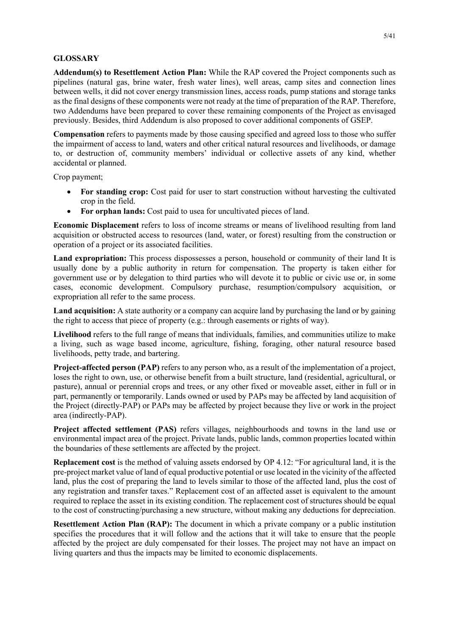#### **GLOSSARY**

**Addendum(s) to Resettlement Action Plan:** While the RAP covered the Project components such as pipelines (natural gas, brine water, fresh water lines), well areas, camp sites and connection lines between wells, it did not cover energy transmission lines, access roads, pump stations and storage tanks as the final designs of these components were not ready at the time of preparation of the RAP. Therefore, two Addendums have been prepared to cover these remaining components of the Project as envisaged previously. Besides, third Addendum is also proposed to cover additional components of GSEP.

**Compensation** refers to payments made by those causing specified and agreed loss to those who suffer the impairment of access to land, waters and other critical natural resources and livelihoods, or damage to, or destruction of, community members' individual or collective assets of any kind, whether accidental or planned.

Crop payment;

- For standing crop: Cost paid for user to start construction without harvesting the cultivated crop in the field.
- **For orphan lands:** Cost paid to usea for uncultivated pieces of land.

**Economic Displacement** refers to loss of income streams or means of livelihood resulting from land acquisition or obstructed access to resources (land, water, or forest) resulting from the construction or operation of a project or its associated facilities.

**Land expropriation:** This process dispossesses a person, household or community of their land It is usually done by a public authority in return for compensation. The property is taken either for government use or by delegation to third parties who will devote it to public or civic use or, in some cases, economic development. Compulsory purchase, resumption/compulsory acquisition, or expropriation all refer to the same process.

**Land acquisition:** A state authority or a company can acquire land by purchasing the land or by gaining the right to access that piece of property (e.g.: through easements or rights of way).

**Livelihood** refers to the full range of means that individuals, families, and communities utilize to make a living, such as wage based income, agriculture, fishing, foraging, other natural resource based livelihoods, petty trade, and bartering.

**Project-affected person (PAP)** refers to any person who, as a result of the implementation of a project, loses the right to own, use, or otherwise benefit from a built structure, land (residential, agricultural, or pasture), annual or perennial crops and trees, or any other fixed or moveable asset, either in full or in part, permanently or temporarily. Lands owned or used by PAPs may be affected by land acquisition of the Project (directly-PAP) or PAPs may be affected by project because they live or work in the project area (indirectly-PAP).

**Project affected settlement (PAS)** refers villages, neighbourhoods and towns in the land use or environmental impact area of the project. Private lands, public lands, common properties located within the boundaries of these settlements are affected by the project.

**Replacement cost** is the method of valuing assets endorsed by OP 4.12: "For agricultural land, it is the pre-project market value of land of equal productive potential or use located in the vicinity of the affected land, plus the cost of preparing the land to levels similar to those of the affected land, plus the cost of any registration and transfer taxes." Replacement cost of an affected asset is equivalent to the amount required to replace the asset in its existing condition. The replacement cost of structures should be equal to the cost of constructing/purchasing a new structure, without making any deductions for depreciation.

**Resettlement Action Plan (RAP):** The document in which a private company or a public institution specifies the procedures that it will follow and the actions that it will take to ensure that the people affected by the project are duly compensated for their losses. The project may not have an impact on living quarters and thus the impacts may be limited to economic displacements.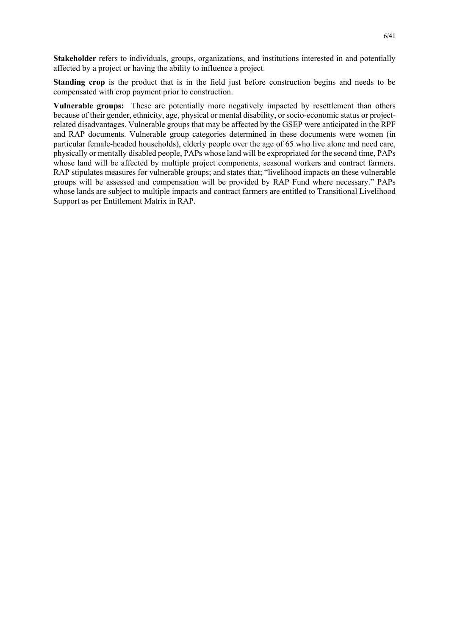**Stakeholder** refers to individuals, groups, organizations, and institutions interested in and potentially affected by a project or having the ability to influence a project.

**Standing crop** is the product that is in the field just before construction begins and needs to be compensated with crop payment prior to construction.

**Vulnerable groups:** These are potentially more negatively impacted by resettlement than others because of their gender, ethnicity, age, physical or mental disability, or socio-economic status or projectrelated disadvantages. Vulnerable groups that may be affected by the GSEP were anticipated in the RPF and RAP documents. Vulnerable group categories determined in these documents were women (in particular female-headed households), elderly people over the age of 65 who live alone and need care, physically or mentally disabled people, PAPs whose land will be expropriated for the second time, PAPs whose land will be affected by multiple project components, seasonal workers and contract farmers. RAP stipulates measures for vulnerable groups; and states that; "livelihood impacts on these vulnerable groups will be assessed and compensation will be provided by RAP Fund where necessary." PAPs whose lands are subject to multiple impacts and contract farmers are entitled to Transitional Livelihood Support as per Entitlement Matrix in RAP.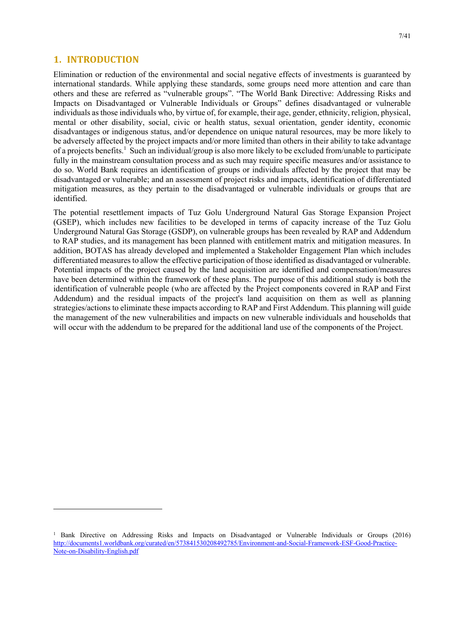#### **1. INTRODUCTION**

Elimination or reduction of the environmental and social negative effects of investments is guaranteed by international standards. While applying these standards, some groups need more attention and care than others and these are referred as "vulnerable groups". "The World Bank Directive: Addressing Risks and Impacts on Disadvantaged or Vulnerable Individuals or Groups" defines disadvantaged or vulnerable individuals as those individuals who, by virtue of, for example, their age, gender, ethnicity, religion, physical, mental or other disability, social, civic or health status, sexual orientation, gender identity, economic disadvantages or indigenous status, and/or dependence on unique natural resources, may be more likely to be adversely affected by the project impacts and/or more limited than others in their ability to take advantage of a projects benefits.<sup>1</sup> Such an individual/group is also more likely to be excluded from/unable to participate fully in the mainstream consultation process and as such may require specific measures and/or assistance to do so. World Bank requires an identification of groups or individuals affected by the project that may be disadvantaged or vulnerable; and an assessment of project risks and impacts, identification of differentiated mitigation measures, as they pertain to the disadvantaged or vulnerable individuals or groups that are identified.

The potential resettlement impacts of Tuz Golu Underground Natural Gas Storage Expansion Project (GSEP), which includes new facilities to be developed in terms of capacity increase of the Tuz Golu Underground Natural Gas Storage (GSDP), on vulnerable groups has been revealed by RAP and Addendum to RAP studies, and its management has been planned with entitlement matrix and mitigation measures. In addition, BOTAS has already developed and implemented a Stakeholder Engagement Plan which includes differentiated measures to allow the effective participation of those identified as disadvantaged or vulnerable. Potential impacts of the project caused by the land acquisition are identified and compensation/measures have been determined within the framework of these plans. The purpose of this additional study is both the identification of vulnerable people (who are affected by the Project components covered in RAP and First Addendum) and the residual impacts of the project's land acquisition on them as well as planning strategies/actions to eliminate these impacts according to RAP and First Addendum. This planning will guide the management of the new vulnerabilities and impacts on new vulnerable individuals and households that will occur with the addendum to be prepared for the additional land use of the components of the Project.

<sup>&</sup>lt;sup>1</sup> Bank Directive on Addressing Risks and Impacts on Disadvantaged or Vulnerable Individuals or Groups (2016) http://documents1.worldbank.org/curated/en/573841530208492785/Environment-and-Social-Framework-ESF-Good-Practice-Note-on-Disability-English.pdf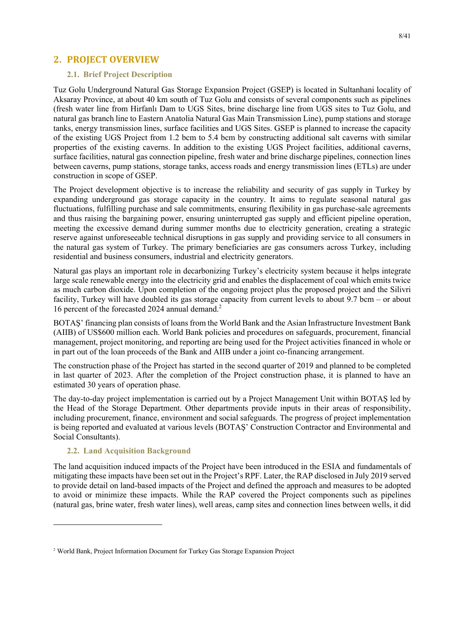### **2. PROJECT OVERVIEW**

#### **2.1. Brief Project Description**

Tuz Golu Underground Natural Gas Storage Expansion Project (GSEP) is located in Sultanhani locality of Aksaray Province, at about 40 km south of Tuz Golu and consists of several components such as pipelines (fresh water line from Hirfanlı Dam to UGS Sites, brine discharge line from UGS sites to Tuz Golu, and natural gas branch line to Eastern Anatolia Natural Gas Main Transmission Line), pump stations and storage tanks, energy transmission lines, surface facilities and UGS Sites. GSEP is planned to increase the capacity of the existing UGS Project from 1.2 bcm to 5.4 bcm by constructing additional salt caverns with similar properties of the existing caverns. In addition to the existing UGS Project facilities, additional caverns, surface facilities, natural gas connection pipeline, fresh water and brine discharge pipelines, connection lines between caverns, pump stations, storage tanks, access roads and energy transmission lines (ETLs) are under construction in scope of GSEP.

The Project development objective is to increase the reliability and security of gas supply in Turkey by expanding underground gas storage capacity in the country. It aims to regulate seasonal natural gas fluctuations, fulfilling purchase and sale commitments, ensuring flexibility in gas purchase-sale agreements and thus raising the bargaining power, ensuring uninterrupted gas supply and efficient pipeline operation, meeting the excessive demand during summer months due to electricity generation, creating a strategic reserve against unforeseeable technical disruptions in gas supply and providing service to all consumers in the natural gas system of Turkey. The primary beneficiaries are gas consumers across Turkey, including residential and business consumers, industrial and electricity generators.

Natural gas plays an important role in decarbonizing Turkey's electricity system because it helps integrate large scale renewable energy into the electricity grid and enables the displacement of coal which emits twice as much carbon dioxide. Upon completion of the ongoing project plus the proposed project and the Silivri facility, Turkey will have doubled its gas storage capacity from current levels to about 9.7 bcm – or about 16 percent of the forecasted 2024 annual demand.<sup>2</sup>

BOTAŞ' financing plan consists of loans from the World Bank and the Asian Infrastructure Investment Bank (AIIB) of US\$600 million each. World Bank policies and procedures on safeguards, procurement, financial management, project monitoring, and reporting are being used for the Project activities financed in whole or in part out of the loan proceeds of the Bank and AIIB under a joint co-financing arrangement.

The construction phase of the Project has started in the second quarter of 2019 and planned to be completed in last quarter of 2023. After the completion of the Project construction phase, it is planned to have an estimated 30 years of operation phase.

The day-to-day project implementation is carried out by a Project Management Unit within BOTAŞ led by the Head of the Storage Department. Other departments provide inputs in their areas of responsibility, including procurement, finance, environment and social safeguards. The progress of project implementation is being reported and evaluated at various levels (BOTAŞ' Construction Contractor and Environmental and Social Consultants).

#### **2.2. Land Acquisition Background**

The land acquisition induced impacts of the Project have been introduced in the ESIA and fundamentals of mitigating these impacts have been set out in the Project's RPF. Later, the RAP disclosed in July 2019 served to provide detail on land-based impacts of the Project and defined the approach and measures to be adopted to avoid or minimize these impacts. While the RAP covered the Project components such as pipelines (natural gas, brine water, fresh water lines), well areas, camp sites and connection lines between wells, it did

<sup>2</sup> World Bank, Project Information Document for Turkey Gas Storage Expansion Project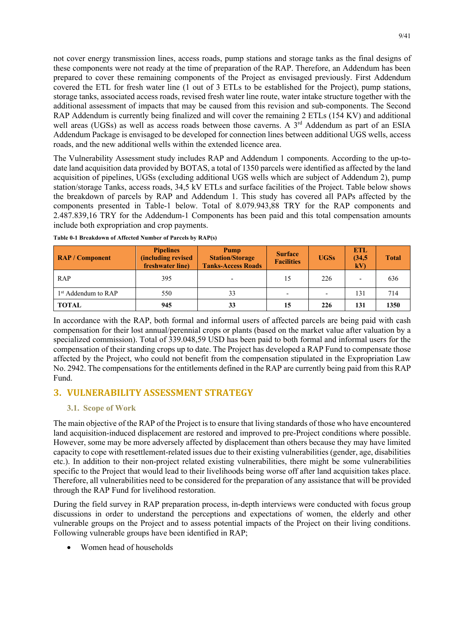not cover energy transmission lines, access roads, pump stations and storage tanks as the final designs of these components were not ready at the time of preparation of the RAP. Therefore, an Addendum has been prepared to cover these remaining components of the Project as envisaged previously. First Addendum covered the ETL for fresh water line (1 out of 3 ETLs to be established for the Project), pump stations, storage tanks, associated access roads, revised fresh water line route, water intake structure together with the additional assessment of impacts that may be caused from this revision and sub-components. The Second RAP Addendum is currently being finalized and will cover the remaining 2 ETLs (154 KV) and additional well areas (UGSs) as well as access roads between those caverns. A  $3<sup>rd</sup>$  Addendum as part of an ESIA Addendum Package is envisaged to be developed for connection lines between additional UGS wells, access roads, and the new additional wells within the extended licence area.

The Vulnerability Assessment study includes RAP and Addendum 1 components. According to the up-todate land acquisition data provided by BOTAS, a total of 1350 parcels were identified as affected by the land acquisition of pipelines, UGSs (excluding additional UGS wells which are subject of Addendum 2), pump station/storage Tanks, access roads, 34,5 kV ETLs and surface facilities of the Project. Table below shows the breakdown of parcels by RAP and Addendum 1. This study has covered all PAPs affected by the components presented in Table-1 below. Total of 8.079.943,88 TRY for the RAP components and 2.487.839,16 TRY for the Addendum-1 Components has been paid and this total compensation amounts include both expropriation and crop payments.

| <b>RAP / Component</b> | <b>Pipelines</b><br><i><b>(including revised)</b></i><br>freshwater line) | Pump<br><b>Station/Storage</b><br><b>Tanks-Access Roads</b> | <b>Surface</b><br><b>Facilities</b> | <b>UGSs</b>              | <b>ETL</b><br>(34,5)<br>kV | <b>Total</b> |
|------------------------|---------------------------------------------------------------------------|-------------------------------------------------------------|-------------------------------------|--------------------------|----------------------------|--------------|
| <b>RAP</b>             | 395                                                                       |                                                             | 15                                  | 226                      | ٠                          | 636          |
| $1st$ Addendum to RAP  | 550                                                                       | 33                                                          | $\overline{\phantom{0}}$            | $\overline{\phantom{0}}$ | 131                        | 714          |
| <b>TOTAL</b>           | 945                                                                       | 33                                                          | 15                                  | 226                      | 131                        | 1350         |

**Table 0-1 Breakdown of Affected Number of Parcels by RAP(s)**

In accordance with the RAP, both formal and informal users of affected parcels are being paid with cash compensation for their lost annual/perennial crops or plants (based on the market value after valuation by a specialized commission). Total of 339.048,59 USD has been paid to both formal and informal users for the compensation of their standing crops up to date. The Project has developed a RAP Fund to compensate those affected by the Project, who could not benefit from the compensation stipulated in the Expropriation Law No. 2942. The compensations for the entitlements defined in the RAP are currently being paid from this RAP Fund.

## **3. VULNERABILITY ASSESSMENT STRATEGY**

#### **3.1. Scope of Work**

The main objective of the RAP of the Project is to ensure that living standards of those who have encountered land acquisition-induced displacement are restored and improved to pre-Project conditions where possible. However, some may be more adversely affected by displacement than others because they may have limited capacity to cope with resettlement-related issues due to their existing vulnerabilities (gender, age, disabilities etc.). In addition to their non-project related existing vulnerabilities, there might be some vulnerabilities specific to the Project that would lead to their livelihoods being worse off after land acquisition takes place. Therefore, all vulnerabilities need to be considered for the preparation of any assistance that will be provided through the RAP Fund for livelihood restoration.

During the field survey in RAP preparation process, in-depth interviews were conducted with focus group discussions in order to understand the perceptions and expectations of women, the elderly and other vulnerable groups on the Project and to assess potential impacts of the Project on their living conditions. Following vulnerable groups have been identified in RAP;

• Women head of households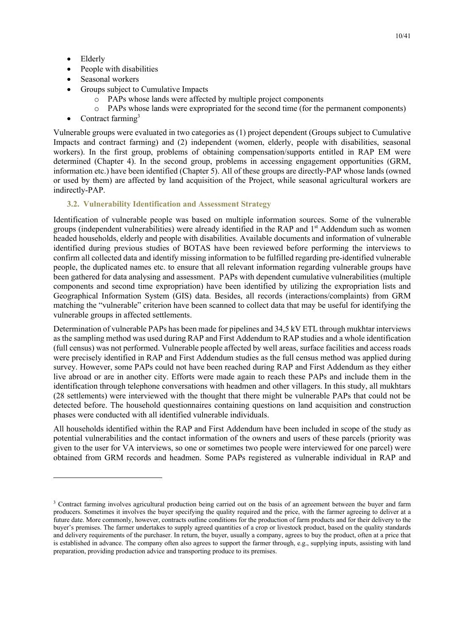- Elderly
- People with disabilities
- Seasonal workers
- Groups subject to Cumulative Impacts
	- o PAPs whose lands were affected by multiple project components
	- o PAPs whose lands were expropriated for the second time (for the permanent components)
- Contract farming $3$

Vulnerable groups were evaluated in two categories as (1) project dependent (Groups subject to Cumulative Impacts and contract farming) and (2) independent (women, elderly, people with disabilities, seasonal workers). In the first group, problems of obtaining compensation/supports entitled in RAP EM were determined (Chapter 4). In the second group, problems in accessing engagement opportunities (GRM, information etc.) have been identified (Chapter 5). All of these groups are directly-PAP whose lands (owned or used by them) are affected by land acquisition of the Project, while seasonal agricultural workers are indirectly-PAP.

#### **3.2. Vulnerability Identification and Assessment Strategy**

Identification of vulnerable people was based on multiple information sources. Some of the vulnerable groups (independent vulnerabilities) were already identified in the RAP and 1<sup>st</sup> Addendum such as women headed households, elderly and people with disabilities. Available documents and information of vulnerable identified during previous studies of BOTAS have been reviewed before performing the interviews to confirm all collected data and identify missing information to be fulfilled regarding pre-identified vulnerable people, the duplicated names etc. to ensure that all relevant information regarding vulnerable groups have been gathered for data analysing and assessment. PAPs with dependent cumulative vulnerabilities (multiple components and second time expropriation) have been identified by utilizing the expropriation lists and Geographical Information System (GIS) data. Besides, all records (interactions/complaints) from GRM matching the "vulnerable" criterion have been scanned to collect data that may be useful for identifying the vulnerable groups in affected settlements.

Determination of vulnerable PAPs has been made for pipelines and 34,5 kV ETL through mukhtar interviews as the sampling method was used during RAP and First Addendum to RAP studies and a whole identification (full census) was not performed. Vulnerable people affected by well areas, surface facilities and access roads were precisely identified in RAP and First Addendum studies as the full census method was applied during survey. However, some PAPs could not have been reached during RAP and First Addendum as they either live abroad or are in another city. Efforts were made again to reach these PAPs and include them in the identification through telephone conversations with headmen and other villagers. In this study, all mukhtars (28 settlements) were interviewed with the thought that there might be vulnerable PAPs that could not be detected before. The household questionnaires containing questions on land acquisition and construction phases were conducted with all identified vulnerable individuals.

All households identified within the RAP and First Addendum have been included in scope of the study as potential vulnerabilities and the contact information of the owners and users of these parcels (priority was given to the user for VA interviews, so one or sometimes two people were interviewed for one parcel) were obtained from GRM records and headmen. Some PAPs registered as vulnerable individual in RAP and

<sup>&</sup>lt;sup>3</sup> Contract farming involves agricultural production being carried out on the basis of an agreement between the buyer and farm producers. Sometimes it involves the buyer specifying the quality required and the price, with the farmer agreeing to deliver at a future date. More commonly, however, contracts outline conditions for the production of farm products and for their delivery to the buyer's premises. The farmer undertakes to supply agreed quantities of a crop or livestock product, based on the quality standards and delivery requirements of the purchaser. In return, the buyer, usually a company, agrees to buy the product, often at a price that is established in advance. The company often also agrees to support the farmer through, e.g., supplying inputs, assisting with land preparation, providing production advice and transporting produce to its premises.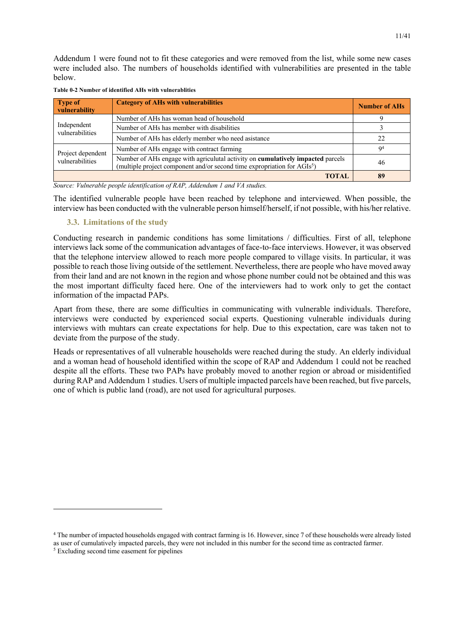Addendum 1 were found not to fit these categories and were removed from the list, while some new cases were included also. The numbers of households identified with vulnerabilities are presented in the table below.

| <b>Type of</b><br>vulnerability | <b>Category of AHs with vulnerabilities</b>                                                                                                                             | <b>Number of AHs</b> |
|---------------------------------|-------------------------------------------------------------------------------------------------------------------------------------------------------------------------|----------------------|
|                                 | Number of AHs has woman head of household                                                                                                                               |                      |
| Independent<br>vulnerabilities  | Number of AHs has member with disabilities                                                                                                                              |                      |
|                                 | Number of AHs has elderly member who need asistance                                                                                                                     | 22                   |
| Project dependent               | Number of AHs engage with contract farming                                                                                                                              | Q <sup>4</sup>       |
| vulnerabilities                 | Number of AHs engage with agriculutal activity on cumulatively impacted parcels<br>(multiple project component and/or second time expropriation for AGIs <sup>5</sup> ) | 46                   |
|                                 | <b>TOTAL</b>                                                                                                                                                            | 89                   |

**Table 0-2 Number of identified AHs with vulnerablities**

*Source: Vulnerable people identification of RAP, Addendum 1 and VA studies.*

The identified vulnerable people have been reached by telephone and interviewed. When possible, the interview has been conducted with the vulnerable person himself/herself, if not possible, with his/her relative.

#### **3.3. Limitations of the study**

Conducting research in pandemic conditions has some limitations / difficulties. First of all, telephone interviews lack some of the communication advantages of face-to-face interviews. However, it was observed that the telephone interview allowed to reach more people compared to village visits. In particular, it was possible to reach those living outside of the settlement. Nevertheless, there are people who have moved away from their land and are not known in the region and whose phone number could not be obtained and this was the most important difficulty faced here. One of the interviewers had to work only to get the contact information of the impactad PAPs.

Apart from these, there are some difficulties in communicating with vulnerable individuals. Therefore, interviews were conducted by experienced social experts. Questioning vulnerable individuals during interviews with muhtars can create expectations for help. Due to this expectation, care was taken not to deviate from the purpose of the study.

Heads or representatives of all vulnerable households were reached during the study. An elderly individual and a woman head of household identified within the scope of RAP and Addendum 1 could not be reached despite all the efforts. These two PAPs have probably moved to another region or abroad or misidentified during RAP and Addendum 1 studies. Users of multiple impacted parcels have been reached, but five parcels, one of which is public land (road), are not used for agricultural purposes.

<sup>4</sup> The number of impacted households engaged with contract farming is 16. However, since 7 of these households were already listed as user of cumulatively impacted parcels, they were not included in this number for the second time as contracted farmer.

<sup>5</sup> Excluding second time easement for pipelines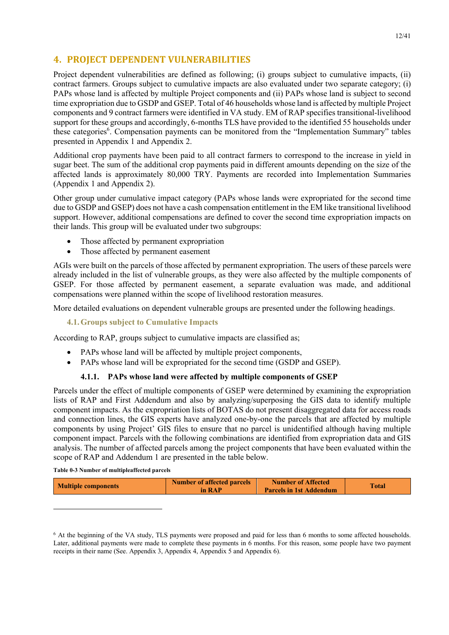## **4. PROJECT DEPENDENT VULNERABILITIES**

Project dependent vulnerabilities are defined as following; (i) groups subject to cumulative impacts, (ii) contract farmers. Groups subject to cumulative impacts are also evaluated under two separate category; (i) PAPs whose land is affected by multiple Project components and (ii) PAPs whose land is subject to second time expropriation due to GSDP and GSEP. Total of 46 households whose land is affected by multiple Project components and 9 contract farmers were identified in VA study. EM of RAP specifies transitional-livelihood support for these groups and accordingly, 6-months TLS have provided to the identified 55 households under these categories<sup>6</sup>. Compensation payments can be monitored from the "Implementation Summary" tables presented in Appendix 1 and Appendix 2.

Additional crop payments have been paid to all contract farmers to correspond to the increase in yield in sugar beet. The sum of the additional crop payments paid in different amounts depending on the size of the affected lands is approximately 80,000 TRY. Payments are recorded into Implementation Summaries (Appendix 1 and Appendix 2).

Other group under cumulative impact category (PAPs whose lands were expropriated for the second time due to GSDP and GSEP) does not have a cash compensation entitlement in the EM like transitional livelihood support. However, additional compensations are defined to cover the second time expropriation impacts on their lands. This group will be evaluated under two subgroups:

- Those affected by permanent expropriation
- Those affected by permanent easement

AGIs were built on the parcels of those affected by permanent expropriation. The users of these parcels were already included in the list of vulnerable groups, as they were also affected by the multiple components of GSEP. For those affected by permanent easement, a separate evaluation was made, and additional compensations were planned within the scope of livelihood restoration measures.

More detailed evaluations on dependent vulnerable groups are presented under the following headings.

#### **4.1.Groups subject to Cumulative Impacts**

According to RAP, groups subject to cumulative impacts are classified as;

- PAPs whose land will be affected by multiple project components,
- PAPs whose land will be expropriated for the second time (GSDP and GSEP).

#### **4.1.1. PAPs whose land were affected by multiple components of GSEP**

Parcels under the effect of multiple components of GSEP were determined by examining the expropriation lists of RAP and First Addendum and also by analyzing/superposing the GIS data to identify multiple component impacts. As the expropriation lists of BOTAS do not present disaggregated data for access roads and connection lines, the GIS experts have analyzed one-by-one the parcels that are affected by multiple components by using Project' GIS files to ensure that no parcel is unidentified although having multiple component impact. Parcels with the following combinations are identified from expropriation data and GIS analysis. The number of affected parcels among the project components that have been evaluated within the scope of RAP and Addendum 1 are presented in the table below.

**Table 0-3 Number of multipleaffected parcels** 

| <b>Multiple components</b> | <b>Number of affected parcels</b><br>in RAP | <b>Number of Affected</b><br><b>Parcels in 1st Addendum</b> | <b>Total</b> |
|----------------------------|---------------------------------------------|-------------------------------------------------------------|--------------|
|                            |                                             |                                                             |              |
|                            |                                             |                                                             |              |

<sup>&</sup>lt;sup>6</sup> At the beginning of the VA study, TLS payments were proposed and paid for less than 6 months to some affected households. Later, additional payments were made to complete these payments in 6 months. For this reason, some people have two payment receipts in their name (See. Appendix 3, Appendix 4, Appendix 5 and Appendix 6).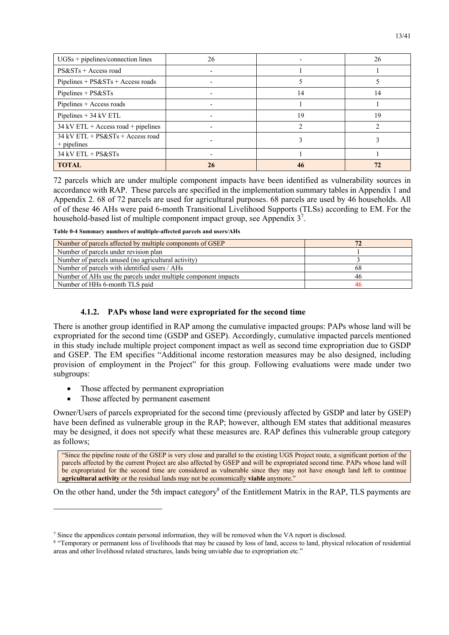| $UGSs + pipelines/connection$ lines                 | 26 |    | 26 |
|-----------------------------------------------------|----|----|----|
| $PS&STs + Access$ road                              |    |    |    |
| $Pipelines + PS&STs + Access roads$                 |    |    |    |
| $Pipelines + PS&STs$                                |    | 14 | 14 |
| Pipelines + Access roads                            |    |    |    |
| Pipelines $+$ 34 kV ETL                             |    | 19 | 19 |
| $34$ kV ETL + Access road + pipelines               |    |    |    |
| $34$ kV ETL + PS&STs + Access road<br>$+$ pipelines |    |    |    |
| 34 kV ETL + PS&STs                                  |    |    |    |
| <b>TOTAL</b>                                        |    |    |    |

72 parcels which are under multiple component impacts have been identified as vulnerability sources in accordance with RAP. These parcels are specified in the implementation summary tables in Appendix 1 and Appendix 2. 68 of 72 parcels are used for agricultural purposes. 68 parcels are used by 46 households. All of of these 46 AHs were paid 6-month Transitional Livelihood Supports (TLSs) according to EM. For the household-based list of multiple component impact group, see Appendix  $3^7$ .

**Table 0-4 Summary numbers of multiple-affected parcels and users/AHs**

| Number of parcels affected by multiple components of GSEP      |    |
|----------------------------------------------------------------|----|
| Number of parcels under revision plan                          |    |
| Number of parcels unused (no agricultural activity)            |    |
| Number of parcels with identified users / AHs                  | 68 |
| Number of AHs use the parcels under multiple component impacts | 46 |
| Number of HHs 6-month TLS paid                                 |    |

#### **4.1.2. PAPs whose land were expropriated for the second time**

There is another group identified in RAP among the cumulative impacted groups: PAPs whose land will be expropriated for the second time (GSDP and GSEP). Accordingly, cumulative impacted parcels mentioned in this study include multiple project component impact as well as second time expropriation due to GSDP and GSEP. The EM specifies "Additional income restoration measures may be also designed, including provision of employment in the Project" for this group. Following evaluations were made under two subgroups:

- Those affected by permanent expropriation
- Those affected by permanent easement

Owner/Users of parcels expropriated for the second time (previously affected by GSDP and later by GSEP) have been defined as vulnerable group in the RAP; however, although EM states that additional measures may be designed, it does not specify what these measures are. RAP defines this vulnerable group category as follows;

"Since the pipeline route of the GSEP is very close and parallel to the existing UGS Project route, a significant portion of the parcels affected by the current Project are also affected by GSEP and will be expropriated second time. PAPs whose land will be expropriated for the second time are considered as vulnerable since they may not have enough land left to continue **agricultural activity** or the residual lands may not be economically **viable** anymore."

On the other hand, under the 5th impact category<sup>8</sup> of the Entitlement Matrix in the RAP, TLS payments are

<sup>7</sup> Since the appendices contain personal information, they will be removed when the VA report is disclosed.

<sup>&</sup>lt;sup>8</sup> "Temporary or permanent loss of livelihoods that may be caused by loss of land, access to land, physical relocation of residential areas and other livelihood related structures, lands being unviable due to expropriation etc."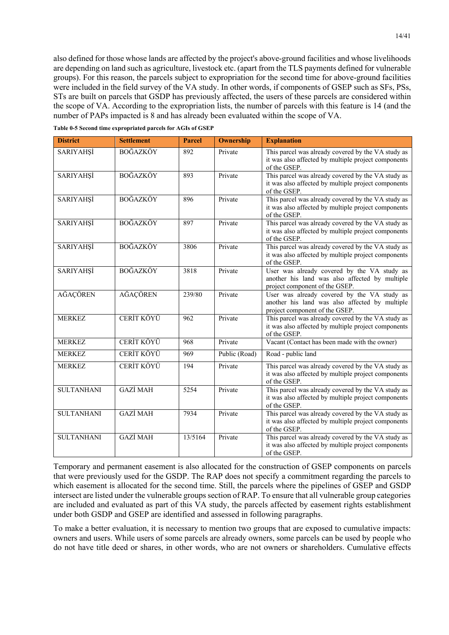also defined for those whose lands are affected by the project's above-ground facilities and whose livelihoods are depending on land such as agriculture, livestock etc. (apart from the TLS payments defined for vulnerable groups). For this reason, the parcels subject to expropriation for the second time for above-ground facilities were included in the field survey of the VA study. In other words, if components of GSEP such as SFs, PSs, STs are built on parcels that GSDP has previously affected, the users of these parcels are considered within the scope of VA. According to the expropriation lists, the number of parcels with this feature is 14 (and the number of PAPs impacted is 8 and has already been evaluated within the scope of VA.

|  |  | Table 0-5 Second time expropriated parcels for AGIs of GSEP |  |
|--|--|-------------------------------------------------------------|--|
|  |  |                                                             |  |

| <b>District</b>   | <b>Settlement</b> | <b>Parcel</b> | <b>Ownership</b> | <b>Explanation</b>                                                                                                              |
|-------------------|-------------------|---------------|------------------|---------------------------------------------------------------------------------------------------------------------------------|
| SARIYAHŞİ         | <b>BOĞAZKÖY</b>   | 892           | Private          | This parcel was already covered by the VA study as<br>it was also affected by multiple project components<br>of the GSEP.       |
| SARIYAHŞİ         | <b>BOĞAZKÖY</b>   | 893           | Private          | This parcel was already covered by the VA study as<br>it was also affected by multiple project components<br>of the GSEP.       |
| <b>SARIYAHŞİ</b>  | <b>BOĞAZKÖY</b>   | 896           | Private          | This parcel was already covered by the VA study as<br>it was also affected by multiple project components<br>of the GSEP.       |
| <b>SARIYAHŞİ</b>  | <b>BOĞAZKÖY</b>   | 897           | Private          | This parcel was already covered by the VA study as<br>it was also affected by multiple project components<br>of the GSEP.       |
| SARIYAHŞİ         | <b>BOĞAZKÖY</b>   | 3806          | Private          | This parcel was already covered by the VA study as<br>it was also affected by multiple project components<br>of the GSEP.       |
| SARIYAHŞİ         | <b>BOĞAZKÖY</b>   | 3818          | Private          | User was already covered by the VA study as<br>another his land was also affected by multiple<br>project component of the GSEP. |
| AĞAÇÖREN          | AĞAÇÖREN          | 239/80        | Private          | User was already covered by the VA study as<br>another his land was also affected by multiple<br>project component of the GSEP. |
| <b>MERKEZ</b>     | CERİT KÖYÜ        | 962           | Private          | This parcel was already covered by the VA study as<br>it was also affected by multiple project components<br>of the GSEP.       |
| <b>MERKEZ</b>     | CERİT KÖYÜ        | 968           | Private          | Vacant (Contact has been made with the owner)                                                                                   |
| <b>MERKEZ</b>     | CERİT KÖYÜ        | 969           | Public (Road)    | Road - public land                                                                                                              |
| <b>MERKEZ</b>     | CERİT KÖYÜ        | 194           | Private          | This parcel was already covered by the VA study as<br>it was also affected by multiple project components<br>of the GSEP.       |
| <b>SULTANHANI</b> | <b>GAZİ MAH</b>   | 5254          | Private          | This parcel was already covered by the VA study as<br>it was also affected by multiple project components<br>of the GSEP.       |
| <b>SULTANHANI</b> | <b>GAZİ MAH</b>   | 7934          | Private          | This parcel was already covered by the VA study as<br>it was also affected by multiple project components<br>of the GSEP.       |
| <b>SULTANHANI</b> | <b>GAZİ MAH</b>   | 13/5164       | Private          | This parcel was already covered by the VA study as<br>it was also affected by multiple project components<br>of the GSEP.       |

Temporary and permanent easement is also allocated for the construction of GSEP components on parcels that were previously used for the GSDP. The RAP does not specify a commitment regarding the parcels to which easement is allocated for the second time. Still, the parcels where the pipelines of GSEP and GSDP intersect are listed under the vulnerable groups section of RAP. To ensure that all vulnerable group categories are included and evaluated as part of this VA study, the parcels affected by easement rights establishment under both GSDP and GSEP are identified and assessed in following paragraphs.

To make a better evaluation, it is necessary to mention two groups that are exposed to cumulative impacts: owners and users. While users of some parcels are already owners, some parcels can be used by people who do not have title deed or shares, in other words, who are not owners or shareholders. Cumulative effects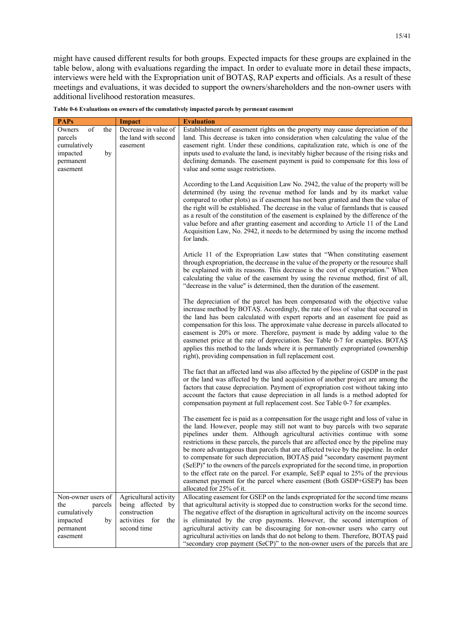might have caused different results for both groups. Expected impacts for these groups are explained in the table below, along with evaluations regarding the impact. In order to evaluate more in detail these impacts, interviews were held with the Expropriation unit of BOTAŞ, RAP experts and officials. As a result of these meetings and evaluations, it was decided to support the owners/shareholders and the non-owner users with additional livelihood restoration measures.

| <b>PAPs</b>                                                                               | <b>Impact</b>                                                                                   | <b>Evaluation</b>                                                                                                                                                                                                                                                                                                                                                                                                                                                                                                                                                                                                                                                                                                                                                                                    |
|-------------------------------------------------------------------------------------------|-------------------------------------------------------------------------------------------------|------------------------------------------------------------------------------------------------------------------------------------------------------------------------------------------------------------------------------------------------------------------------------------------------------------------------------------------------------------------------------------------------------------------------------------------------------------------------------------------------------------------------------------------------------------------------------------------------------------------------------------------------------------------------------------------------------------------------------------------------------------------------------------------------------|
| of<br>the<br>Owners<br>parcels<br>cumulatively<br>impacted<br>by<br>permanent<br>easement | Decrease in value of<br>the land with second<br>easement                                        | Establishment of easement rights on the property may cause depreciation of the<br>land. This decrease is taken into consideration when calculating the value of the<br>easement right. Under these conditions, capitalization rate, which is one of the<br>inputs used to evaluate the land, is inevitably higher because of the rising risks and<br>declining demands. The easement payment is paid to compensate for this loss of<br>value and some usage restrictions.                                                                                                                                                                                                                                                                                                                            |
|                                                                                           |                                                                                                 | According to the Land Acquisition Law No. 2942, the value of the property will be<br>determined (by using the revenue method for lands and by its market value<br>compared to other plots) as if easement has not been granted and then the value of<br>the right will be established. The decrease in the value of farmlands that is caused<br>as a result of the constitution of the easement is explained by the difference of the<br>value before and after granting easement and according to Article 11 of the Land<br>Acquisition Law, No. 2942, it needs to be determined by using the income method<br>for lands.                                                                                                                                                                           |
|                                                                                           |                                                                                                 | Article 11 of the Expropriation Law states that "When constituting easement<br>through expropriation, the decrease in the value of the property or the resource shall<br>be explained with its reasons. This decrease is the cost of expropriation." When<br>calculating the value of the easement by using the revenue method, first of all,<br>"decrease in the value" is determined, then the duration of the easement.                                                                                                                                                                                                                                                                                                                                                                           |
|                                                                                           |                                                                                                 | The depreciation of the parcel has been compensated with the objective value<br>increase method by BOTAS. Accordingly, the rate of loss of value that occured in<br>the land has been calculated with expert reports and an easement fee paid as<br>compensation for this loss. The approximate value decrease in parcels allocated to<br>easement is 20% or more. Therefore, payment is made by adding value to the<br>easmenet price at the rate of depreciation. See Table 0-7 for examples. BOTAS<br>applies this method to the lands where it is permanently expropriated (ownership<br>right), providing compensation in full replacement cost.                                                                                                                                                |
|                                                                                           |                                                                                                 | The fact that an affected land was also affected by the pipeline of GSDP in the past<br>or the land was affected by the land acquisition of another project are among the<br>factors that cause depreciation. Payment of expropriation cost without taking into<br>account the factors that cause depreciation in all lands is a method adopted for<br>compensation payment at full replacement cost. See Table 0-7 for examples.                                                                                                                                                                                                                                                                                                                                                                    |
|                                                                                           |                                                                                                 | The easement fee is paid as a compensation for the usage right and loss of value in<br>the land. However, people may still not want to buy parcels with two separate<br>pipelines under them. Although agricultural activities continue with some<br>restrictions in these parcels, the parcels that are affected once by the pipeline may<br>be more advantageous than parcels that are affected twice by the pipeline. In order<br>to compensate for such depreciation, BOTAS paid "secondary easement payment<br>(SeEP)" to the owners of the parcels expropriated for the second time, in proportion<br>to the effect rate on the parcel. For example, SeEP equal to 25% of the previous<br>easmenet payment for the parcel where easement (Both GSDP+GSEP) has been<br>allocated for 25% of it. |
| Non-owner users of<br>the<br>parcels<br>cumulatively<br>impacted<br>by<br>permanent       | Agricultural activity<br>being affected by<br>construction<br>activities for the<br>second time | Allocating easement for GSEP on the lands expropriated for the second time means<br>that agricultural activity is stopped due to construction works for the second time.<br>The negative effect of the disruption in agricultural activity on the income sources<br>is eliminated by the crop payments. However, the second interruption of<br>agricultural activity can be discouraging for non-owner users who carry out                                                                                                                                                                                                                                                                                                                                                                           |
| easement                                                                                  |                                                                                                 | agricultural activities on lands that do not belong to them. Therefore, BOTAS paid<br>"secondary crop payment (SeCP)" to the non-owner users of the parcels that are                                                                                                                                                                                                                                                                                                                                                                                                                                                                                                                                                                                                                                 |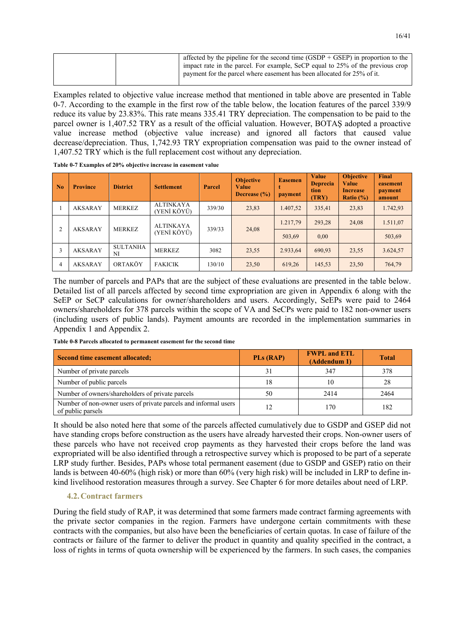|  | affected by the pipeline for the second time (GSDP + GSEP) in proportion to the<br>impact rate in the parcel. For example, SeCP equal to 25% of the previous crop<br>payment for the parcel where easement has been allocated for 25% of it. |
|--|----------------------------------------------------------------------------------------------------------------------------------------------------------------------------------------------------------------------------------------------|
|--|----------------------------------------------------------------------------------------------------------------------------------------------------------------------------------------------------------------------------------------------|

Examples related to objective value increase method that mentioned in table above are presented in Table 0-7. According to the example in the first row of the table below, the location features of the parcel 339/9 reduce its value by 23.83%. This rate means 335.41 TRY depreciation. The compensation to be paid to the parcel owner is 1,407.52 TRY as a result of the official valuation. However, BOTAŞ adopted a proactive value increase method (objective value increase) and ignored all factors that caused value decrease/depreciation. Thus, 1,742.93 TRY expropriation compensation was paid to the owner instead of 1,407.52 TRY which is the full replacement cost without any depreciation.

| $\overline{\phantom{a}}$ No | <b>Province</b> | <b>District</b>       | <b>Settlement</b>               | Parcel | <b>Objective</b><br><b>Value</b><br>Decrease $(\% )$ | <b>Easemen</b><br>payment | Value<br><b>Deprecia</b><br>tion<br><b>(TRY)</b> | <b>Objective</b><br><b>Value</b><br><b>Increase</b><br>Ratio $(\%)$ | <b>Final</b><br>easement<br>payment<br>amount |
|-----------------------------|-----------------|-----------------------|---------------------------------|--------|------------------------------------------------------|---------------------------|--------------------------------------------------|---------------------------------------------------------------------|-----------------------------------------------|
|                             | <b>AKSARAY</b>  | <b>MERKEZ</b>         | <b>ALTINKAYA</b><br>(YENİ KÖYÜ) | 339/30 | 23,83                                                | 1.407,52                  | 335,41                                           | 23,83                                                               | 1.742,93                                      |
| 2                           | <b>AKSARAY</b>  | <b>MERKEZ</b>         | <b>ALTINKAYA</b><br>(YENİ KÖYÜ) | 339/33 | 24,08                                                | 1.217,79                  | 293,28                                           | 24,08                                                               | 1.511,07                                      |
|                             |                 |                       |                                 |        |                                                      |                           | 503,69                                           | 0,00                                                                |                                               |
| 3                           | <b>AKSARAY</b>  | <b>SULTANHA</b><br>NI | <b>MERKEZ</b>                   | 3082   | 23,55                                                | 2.933.64                  | 690.93                                           | 23,55                                                               | 3.624,57                                      |
| 4                           | AKSARAY         | ORTAKÖY               | <b>FAKICIK</b>                  | 130/10 | 23,50                                                | 619.26                    | 145.53                                           | 23,50                                                               | 764,79                                        |

**Table 0-7 Examples of 20% objective increase in easement value**

The number of parcels and PAPs that are the subject of these evaluations are presented in the table below. Detailed list of all parcels affected by second time expropriation are given in Appendix 6 along with the SeEP or SeCP calculations for owner/shareholders and users. Accordingly, SeEPs were paid to 2464 owners/shareholders for 378 parcels within the scope of VA and SeCPs were paid to 182 non-owner users (including users of public lands). Payment amounts are recorded in the implementation summaries in Appendix 1 and Appendix 2.

| Second time easement allocated;                                                      | <b>PLs (RAP)</b> | <b>FWPL and ETL</b><br>(Addendum 1) | <b>Total</b> |
|--------------------------------------------------------------------------------------|------------------|-------------------------------------|--------------|
| Number of private parcels                                                            |                  | 347                                 | 378          |
| Number of public parcels                                                             |                  | 10                                  | 28           |
| Number of owners/shareholders of private parcels                                     | 50               | 2414                                | 2464         |
| Number of non-owner users of private parcels and informal users<br>of public parsels | 12               | 170                                 | 182          |

**Table 0-8 Parcels allocated to permanent easement for the second time**

It should be also noted here that some of the parcels affected cumulatively due to GSDP and GSEP did not have standing crops before construction as the users have already harvested their crops. Non-owner users of these parcels who have not received crop payments as they harvested their crops before the land was expropriated will be also identified through a retrospective survey which is proposed to be part of a seperate LRP study further. Besides, PAPs whose total permanent easement (due to GSDP and GSEP) ratio on their lands is between 40-60% (high risk) or more than 60% (very high risk) will be included in LRP to define inkind livelihood restoration measures through a survey. See Chapter 6 for more detailes about need of LRP.

#### **4.2.Contract farmers**

During the field study of RAP, it was determined that some farmers made contract farming agreements with the private sector companies in the region. Farmers have undergone certain commitments with these contracts with the companies, but also have been the beneficiaries of certain quotas. In case of failure of the contracts or failure of the farmer to deliver the product in quantity and quality specified in the contract, a loss of rights in terms of quota ownership will be experienced by the farmers. In such cases, the companies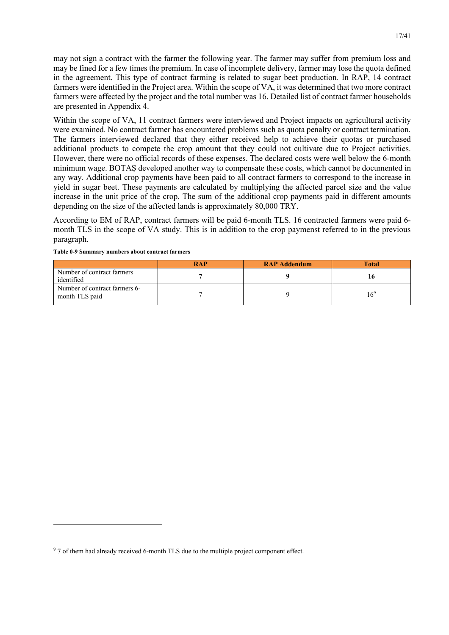may not sign a contract with the farmer the following year. The farmer may suffer from premium loss and may be fined for a few times the premium. In case of incomplete delivery, farmer may lose the quota defined in the agreement. This type of contract farming is related to sugar beet production. In RAP, 14 contract farmers were identified in the Project area. Within the scope of VA, it was determined that two more contract farmers were affected by the project and the total number was 16. Detailed list of contract farmer households are presented in Appendix 4.

Within the scope of VA, 11 contract farmers were interviewed and Project impacts on agricultural activity were examined. No contract farmer has encountered problems such as quota penalty or contract termination. The farmers interviewed declared that they either received help to achieve their quotas or purchased additional products to compete the crop amount that they could not cultivate due to Project activities. However, there were no official records of these expenses. The declared costs were well below the 6-month minimum wage. BOTAŞ developed another way to compensate these costs, which cannot be documented in any way. Additional crop payments have been paid to all contract farmers to correspond to the increase in yield in sugar beet. These payments are calculated by multiplying the affected parcel size and the value increase in the unit price of the crop. The sum of the additional crop payments paid in different amounts depending on the size of the affected lands is approximately 80,000 TRY.

According to EM of RAP, contract farmers will be paid 6-month TLS. 16 contracted farmers were paid 6 month TLS in the scope of VA study. This is in addition to the crop paymenst referred to in the previous paragraph.

|                                                 | <b>RAP</b> | <b>RAP Addendum</b> | <b>Total</b>    |
|-------------------------------------------------|------------|---------------------|-----------------|
| Number of contract farmers<br>identified        |            |                     |                 |
| Number of contract farmers 6-<br>month TLS paid |            |                     | 16 <sup>9</sup> |

<sup>&</sup>lt;sup>9</sup> 7 of them had already received 6-month TLS due to the multiple project component effect.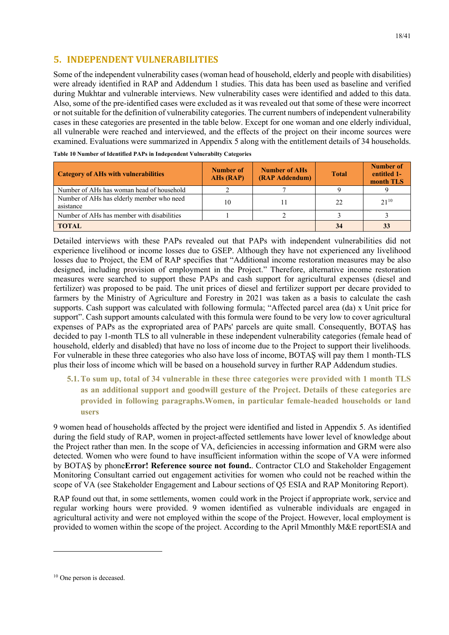## **5. INDEPENDENT VULNERABILITIES**

Some of the independent vulnerability cases (woman head of household, elderly and people with disabilities) were already identified in RAP and Addendum 1 studies. This data has been used as baseline and verified during Mukhtar and vulnerable interviews. New vulnerability cases were identified and added to this data. Also, some of the pre-identified cases were excluded as it was revealed out that some of these were incorrect or not suitable for the definition of vulnerability categories. The current numbers of independent vulnerability cases in these categories are presented in the table below. Except for one woman and one elderly individual, all vulnerable were reached and interviewed, and the effects of the project on their income sources were examined. Evaluations were summarized in Appendix 5 along with the entitlement details of 34 households.

| <b>Category of AHs with vulnerabilities</b>            | <b>Number of</b><br>AHs (RAP) | <b>Number of AHs</b><br>(RAP Addendum) | <b>Total</b> | <b>Number of</b><br>entitled 1-<br>month TLS |
|--------------------------------------------------------|-------------------------------|----------------------------------------|--------------|----------------------------------------------|
| Number of AHs has woman head of household              |                               |                                        |              |                                              |
| Number of AHs has elderly member who need<br>asistance | 10                            |                                        | 22           | $2.1^{10}$                                   |
| Number of AHs has member with disabilities             |                               |                                        |              |                                              |
| <b>TOTAL</b>                                           | 34                            | 33                                     |              |                                              |

**Table 10 Number of Identified PAPs in Independent Vulnerabilty Categories**

Detailed interviews with these PAPs revealed out that PAPs with independent vulnerabilities did not experience livelihood or income losses due to GSEP. Although they have not experienced any livelihood losses due to Project, the EM of RAP specifies that "Additional income restoration measures may be also designed, including provision of employment in the Project." Therefore, alternative income restoration measures were searched to support these PAPs and cash support for agricultural expenses (diesel and fertilizer) was proposed to be paid. The unit prices of diesel and fertilizer support per decare provided to farmers by the Ministry of Agriculture and Forestry in 2021 was taken as a basis to calculate the cash supports. Cash support was calculated with following formula; "Affected parcel area (da) x Unit price for support". Cash support amounts calculated with this formula were found to be very low to cover agricultural expenses of PAPs as the expropriated area of PAPs' parcels are quite small. Consequently, BOTAŞ has decided to pay 1-month TLS to all vulnerable in these independent vulnerability categories (female head of household, elderly and disabled) that have no loss of income due to the Project to support their livelihoods. For vulnerable in these three categories who also have loss of income, BOTAŞ will pay them 1 month-TLS plus their loss of income which will be based on a household survey in further RAP Addendum studies.

**5.1.To sum up, total of 34 vulnerable in these three categories were provided with 1 month TLS as an additional support and goodwill gesture of the Project. Details of these categories are provided in following paragraphs.Women, in particular female-headed households or land users**

9 women head of households affected by the project were identified and listed in Appendix 5. As identified during the field study of RAP, women in project-affected settlements have lower level of knowledge about the Project rather than men. In the scope of VA, deficiencies in accessing information and GRM were also detected. Women who were found to have insufficient information within the scope of VA were informed by BOTAŞ by phone**Error! Reference source not found.**. Contractor CLO and Stakeholder Engagement Monitoring Consultant carried out engagement activities for women who could not be reached within the scope of VA (see Stakeholder Engagement and Labour sections of Q5 ESIA and RAP Monitoring Report).

RAP found out that, in some settlements, women could work in the Project if appropriate work, service and regular working hours were provided. 9 women identified as vulnerable individuals are engaged in agricultural activity and were not employed within the scope of the Project. However, local employment is provided to women within the scope of the project. According to the April Mmonthly M&E reportESIA and

<sup>&</sup>lt;sup>10</sup> One person is deceased.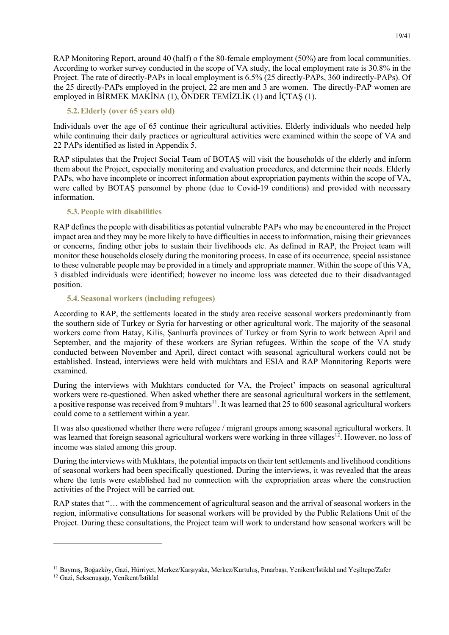RAP Monitoring Report, around 40 (half) o f the 80-female employment (50%) are from local communities. According to worker survey conducted in the scope of VA study, the local employment rate is 30.8% in the Project. The rate of directly-PAPs in local employment is 6.5% (25 directly-PAPs, 360 indirectly-PAPs). Of the 25 directly-PAPs employed in the project, 22 are men and 3 are women. The directly-PAP women are employed in BİRMEK MAKİNA (1), ÖNDER TEMİZLİK (1) and İÇTAŞ (1).

#### **5.2.Elderly (over 65 years old)**

Individuals over the age of 65 continue their agricultural activities. Elderly individuals who needed help while continuing their daily practices or agricultural activities were examined within the scope of VA and 22 PAPs identified as listed in Appendix 5.

RAP stipulates that the Project Social Team of BOTAŞ will visit the households of the elderly and inform them about the Project, especially monitoring and evaluation procedures, and determine their needs. Elderly PAPs, who have incomplete or incorrect information about expropriation payments within the scope of VA, were called by BOTAŞ personnel by phone (due to Covid-19 conditions) and provided with necessary information.

#### **5.3.People with disabilities**

RAP defines the people with disabilities as potential vulnerable PAPs who may be encountered in the Project impact area and they may be more likely to have difficulties in access to information, raising their grievances or concerns, finding other jobs to sustain their livelihoods etc. As defined in RAP, the Project team will monitor these households closely during the monitoring process. In case of its occurrence, special assistance to these vulnerable people may be provided in a timely and appropriate manner. Within the scope of this VA, 3 disabled individuals were identified; however no income loss was detected due to their disadvantaged position.

#### **5.4.Seasonal workers (including refugees)**

According to RAP, the settlements located in the study area receive seasonal workers predominantly from the southern side of Turkey or Syria for harvesting or other agricultural work. The majority of the seasonal workers come from Hatay, Kilis, Şanlıurfa provinces of Turkey or from Syria to work between April and September, and the majority of these workers are Syrian refugees. Within the scope of the VA study conducted between November and April, direct contact with seasonal agricultural workers could not be established. Instead, interviews were held with mukhtars and ESIA and RAP Monnitoring Reports were examined.

During the interviews with Mukhtars conducted for VA, the Project' impacts on seasonal agricultural workers were re-questioned. When asked whether there are seasonal agricultural workers in the settlement, a positive response was received from 9 muhtars<sup>11</sup>. It was learned that 25 to 600 seasonal agricultural workers could come to a settlement within a year.

It was also questioned whether there were refugee / migrant groups among seasonal agricultural workers. It was learned that foreign seasonal agricultural workers were working in three villages<sup>12</sup>. However, no loss of income was stated among this group.

During the interviews with Mukhtars, the potential impacts on their tent settlements and livelihood conditions of seasonal workers had been specifically questioned. During the interviews, it was revealed that the areas where the tents were established had no connection with the expropriation areas where the construction activities of the Project will be carried out.

RAP states that "… with the commencement of agricultural season and the arrival of seasonal workers in the region, informative consultations for seasonal workers will be provided by the Public Relations Unit of the Project. During these consultations, the Project team will work to understand how seasonal workers will be

<sup>11</sup> Baymış, Boğazköy, Gazi, Hürriyet, Merkez/Karşıyaka, Merkez/Kurtuluş, Pınarbaşı, Yenikent/İstiklal and Yeşiltepe/Zafer

<sup>12</sup> Gazi, Seksenuşağı, Yenikent/İstiklal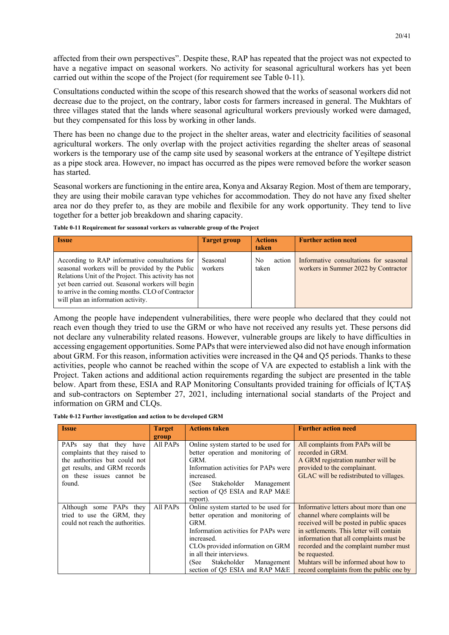affected from their own perspectives". Despite these, RAP has repeated that the project was not expected to have a negative impact on seasonal workers. No activity for seasonal agricultural workers has yet been carried out within the scope of the Project (for requirement see Table 0-11).

Consultations conducted within the scope of this research showed that the works of seasonal workers did not decrease due to the project, on the contrary, labor costs for farmers increased in general. The Mukhtars of three villages stated that the lands where seasonal agricultural workers previously worked were damaged, but they compensated for this loss by working in other lands.

There has been no change due to the project in the shelter areas, water and electricity facilities of seasonal agricultural workers. The only overlap with the project activities regarding the shelter areas of seasonal workers is the temporary use of the camp site used by seasonal workers at the entrance of Yeşiltepe district as a pipe stock area. However, no impact has occurred as the pipes were removed before the worker season has started.

Seasonal workers are functioning in the entire area, Konya and Aksaray Region. Most of them are temporary, they are using their mobile caravan type vehiches for accommodation. They do not have any fixed shelter area nor do they prefer to, as they are mobile and flexibile for any work opportunity. They tend to live together for a better job breakdown and sharing capacity.

| <b>Issue</b>                                                                                                                                                                                                                                                                                              | <b>Target group</b> | <b>Actions</b><br>taken | <b>Further action need</b>                                                     |
|-----------------------------------------------------------------------------------------------------------------------------------------------------------------------------------------------------------------------------------------------------------------------------------------------------------|---------------------|-------------------------|--------------------------------------------------------------------------------|
| According to RAP informative consultations for<br>seasonal workers will be provided by the Public<br>Relations Unit of the Project. This activity has not<br>yet been carried out. Seasonal workers will begin<br>to arrive in the coming months. CLO of Contractor<br>will plan an information activity. | Seasonal<br>workers | No<br>action<br>taken   | Informative consultations for seasonal<br>workers in Summer 2022 by Contractor |

**Table 0-11 Requirement for seasonal vorkers as vulnerable group of the Project**

Among the people have independent vulnerabilities, there were people who declared that they could not reach even though they tried to use the GRM or who have not received any results yet. These persons did not declare any vulnerability related reasons. However, vulnerable groups are likely to have difficulties in accessing engagement opportunities. Some PAPs that were interviewed also did not have enough information about GRM. For this reason, information activities were increased in the Q4 and Q5 periods. Thanks to these activities, people who cannot be reached within the scope of VA are expected to establish a link with the Project. Taken actions and additional action requirements regarding the subject are presented in the table below. Apart from these, ESIA and RAP Monitoring Consultants provided training for officials of İÇTAŞ and sub-contractors on September 27, 2021, including international social standarts of the Project and information on GRM and CLQs.

**Table 0-12 Further investigation and action to be developed GRM**

| <b>Issue</b>                                                 | Target            | <b>Actions taken</b>                                                       | <b>Further action need</b>                           |
|--------------------------------------------------------------|-------------------|----------------------------------------------------------------------------|------------------------------------------------------|
|                                                              | group<br>All PAPs |                                                                            |                                                      |
| PAPs<br>say that they have<br>complaints that they raised to |                   | Online system started to be used for<br>better operation and monitoring of | All complaints from PAPs will be<br>recorded in GRM. |
| the authorities but could not                                |                   | GRM.                                                                       | A GRM registration number will be                    |
| get results, and GRM records                                 |                   | Information activities for PAPs were                                       | provided to the complainant.                         |
| on these issues cannot be                                    |                   | increased.                                                                 | GLAC will be redistributed to villages.              |
| found.                                                       |                   | Stakeholder<br>(See<br>Management                                          |                                                      |
|                                                              |                   | section of Q5 ESIA and RAP M&E                                             |                                                      |
|                                                              |                   | report).                                                                   |                                                      |
| Although some PAPs they                                      | All PAPs          | Online system started to be used for                                       | Informative letters about more than one              |
| tried to use the GRM, they                                   |                   | better operation and monitoring of                                         | channel where complaints will be                     |
| could not reach the authorities.                             |                   | GRM.                                                                       | received will be posted in public spaces             |
|                                                              |                   | Information activities for PAPs were                                       | in settlements. This letter will contain             |
|                                                              |                   | increased.                                                                 | information that all complaints must be              |
|                                                              |                   | CLOs provided information on GRM                                           | recorded and the complaint number must               |
|                                                              |                   | in all their interviews.                                                   | be requested.                                        |
|                                                              |                   | (See<br>Stakeholder<br>Management                                          | Muhtars will be informed about how to                |
|                                                              |                   | section of O5 ESIA and RAP M&E                                             | record complaints from the public one by             |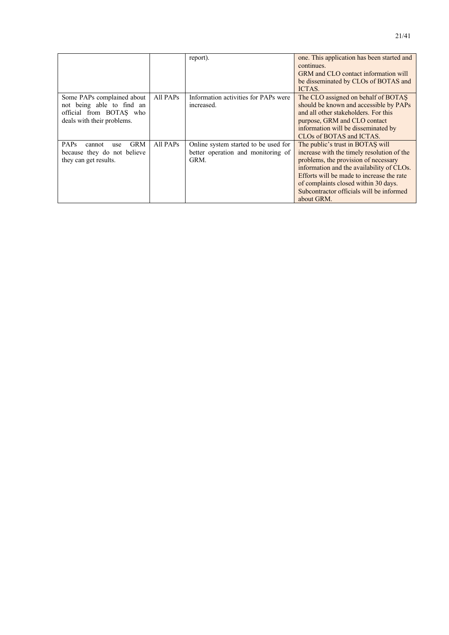|                                                                                                                  |          | report).                                                                           | one. This application has been started and<br>continues.<br>GRM and CLO contact information will<br>be disseminated by CLOs of BOTAS and                                                                                                                                                                           |
|------------------------------------------------------------------------------------------------------------------|----------|------------------------------------------------------------------------------------|--------------------------------------------------------------------------------------------------------------------------------------------------------------------------------------------------------------------------------------------------------------------------------------------------------------------|
|                                                                                                                  |          |                                                                                    | ICTAS.                                                                                                                                                                                                                                                                                                             |
| Some PAPs complained about<br>not being able to find an<br>official from BOTAS who<br>deals with their problems. | All PAPs | Information activities for PAPs were<br>increased.                                 | The CLO assigned on behalf of BOTAS<br>should be known and accessible by PAPs<br>and all other stakeholders. For this<br>purpose, GRM and CLO contact<br>information will be disseminated by<br>CLOs of BOTAS and ICTAS.                                                                                           |
| <b>GRM</b><br><b>PAPs</b><br>cannot<br>use<br>because they do not believe<br>they can get results.               | All PAPs | Online system started to be used for<br>better operation and monitoring of<br>GRM. | The public's trust in BOTAS will<br>increase with the timely resolution of the<br>problems, the provision of necessary<br>information and the availability of CLOs.<br>Efforts will be made to increase the rate<br>of complaints closed within 30 days.<br>Subcontractor officials will be informed<br>about GRM. |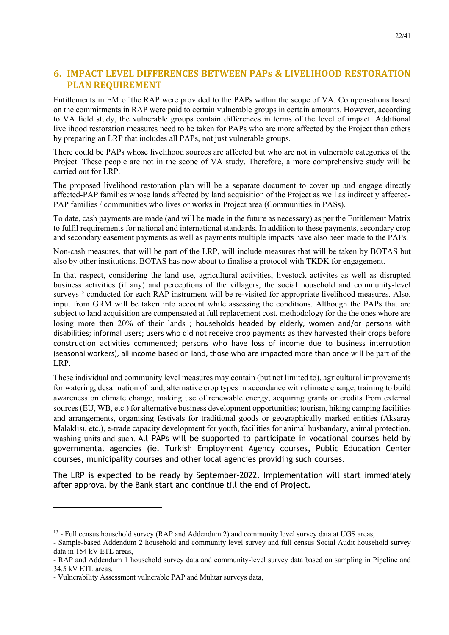## **6. IMPACT LEVEL DIFFERENCES BETWEEN PAPs & LIVELIHOOD RESTORATION PLAN REQUIREMENT**

Entitlements in EM of the RAP were provided to the PAPs within the scope of VA. Compensations based on the commitments in RAP were paid to certain vulnerable groups in certain amounts. However, according to VA field study, the vulnerable groups contain differences in terms of the level of impact. Additional livelihood restoration measures need to be taken for PAPs who are more affected by the Project than others by preparing an LRP that includes all PAPs, not just vulnerable groups.

There could be PAPs whose livelihood sources are affected but who are not in vulnerable categories of the Project. These people are not in the scope of VA study. Therefore, a more comprehensive study will be carried out for LRP.

The proposed livelihood restoration plan will be a separate document to cover up and engage directly affected-PAP families whose lands affected by land acquisition of the Project as well as indirectly affected-PAP families / communities who lives or works in Project area (Communities in PASs).

To date, cash payments are made (and will be made in the future as necessary) as per the Entitlement Matrix to fulfil requirements for national and international standards. In addition to these payments, secondary crop and secondary easement payments as well as payments multiple impacts have also been made to the PAPs.

Non-cash measures, that will be part of the LRP, will include measures that will be taken by BOTAS but also by other institutions. BOTAS has now about to finalise a protocol with TKDK for engagement.

In that respect, considering the land use, agricultural activities, livestock activites as well as disrupted business activities (if any) and perceptions of the villagers, the social household and community-level surveys<sup>13</sup> conducted for each RAP instrument will be re-visited for appropriate livelihood measures. Also, input from GRM will be taken into account while assessing the conditions. Although the PAPs that are subject to land acquisition are compensated at full replacement cost, methodology for the the ones whore are losing more then 20% of their lands ; households headed by elderly, women and/or persons with disabilities; informal users; users who did not receive crop payments as they harvested their crops before construction activities commenced; persons who have loss of income due to business interruption (seasonal workers), all income based on land, those who are impacted more than once will be part of the LRP.

These individual and community level measures may contain (but not limited to), agricultural improvements for watering, desalination of land, alternative crop types in accordance with climate change, training to build awareness on climate change, making use of renewable energy, acquiring grants or credits from external sources (EU, WB, etc.) for alternative business development opportunities; tourism, hiking camping facilities and arrangements, organising festivals for traditional goods or geographically marked entities (Aksaray Malaklısı, etc.), e-trade capacity development for youth, facilities for animal husbandary, animal protection, washing units and such. All PAPs will be supported to participate in vocational courses held by governmental agencies (ie. Turkish Employment Agency courses, Public Education Center courses, municipality courses and other local agencies providing such courses.

The LRP is expected to be ready by September-2022. Implementation will start immediately after approval by the Bank start and continue till the end of Project.

 $<sup>13</sup>$  - Full census household survey (RAP and Addendum 2) and community level survey data at UGS areas,</sup>

<sup>-</sup> Sample-based Addendum 2 household and community level survey and full census Social Audit household survey data in 154 kV ETL areas,

<sup>-</sup> RAP and Addendum 1 household survey data and community-level survey data based on sampling in Pipeline and 34.5 kV ETL areas,

<sup>-</sup> Vulnerability Assessment vulnerable PAP and Muhtar surveys data,